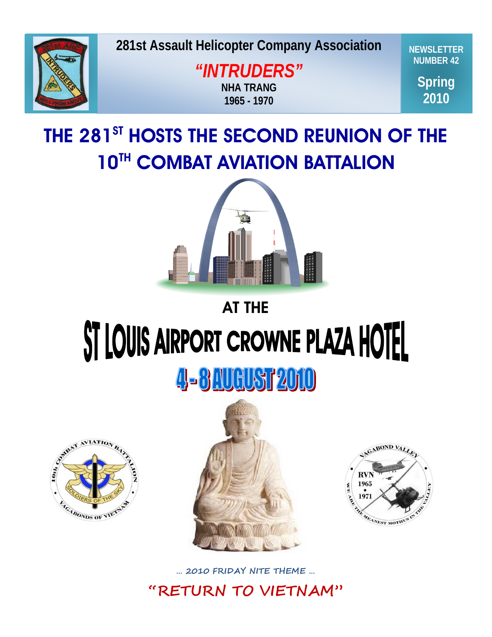

**281st Assault Helicopter Company Association** 

**Spring 2009** *"INTRUDERS"* **NHA TRANG 1965 - 1970**

**NEWSLETTER NUMBER 42**

> **Spring 2010**

# THE 281<sup>ST</sup> HOSTS THE SECOND REUNION OF THE **10TH COMBAT AVIATION BATTALION**



# AT THE

# ST LOUIS AIRPORT CROWNE PLAZA HOTEL

# 4-8 AUGUST 2010







**… 2010 FRIDAY NITE THEME …**

**"RETURN TO VIETNAM"**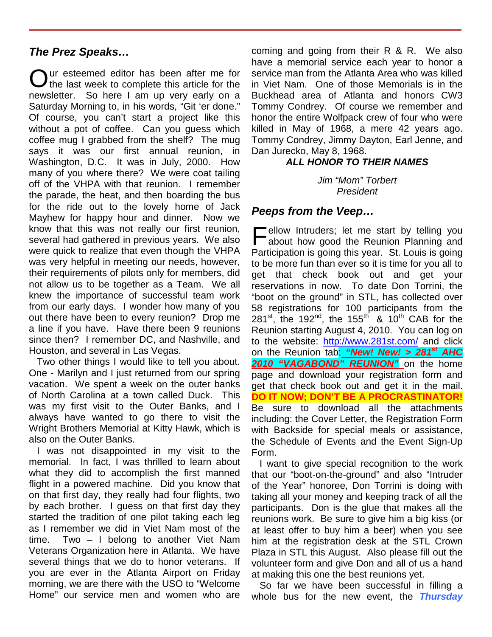# *The Prez Speaks…*

Our esteemed editor has been after me for<br>
Othe last week to complete this article for the the last week to complete this article for the newsletter. So here I am up very early on a Saturday Morning to, in his words, "Git 'er done." Of course, you can't start a project like this without a pot of coffee. Can you guess which coffee mug I grabbed from the shelf? The mug says it was our first annual reunion, in Washington, D.C. It was in July, 2000. How many of you where there? We were coat tailing off of the VHPA with that reunion. I remember the parade, the heat, and then boarding the bus for the ride out to the lovely home of Jack Mayhew for happy hour and dinner. Now we know that this was not really our first reunion, several had gathered in previous years. We also were quick to realize that even though the VHPA was very helpful in meeting our needs, however, their requirements of pilots only for members, did not allow us to be together as a Team. We all knew the importance of successful team work from our early days. I wonder how many of you out there have been to every reunion? Drop me a line if you have. Have there been 9 reunions since then? I remember DC, and Nashville, and Houston, and several in Las Vegas.

Two other things I would like to tell you about. One - Marilyn and I just returned from our spring vacation. We spent a week on the outer banks of North Carolina at a town called Duck. This was my first visit to the Outer Banks, and I always have wanted to go there to visit the Wright Brothers Memorial at Kitty Hawk, which is also on the Outer Banks.

I was not disappointed in my visit to the memorial. In fact, I was thrilled to learn about what they did to accomplish the first manned flight in a powered machine. Did you know that on that first day, they really had four flights, two by each brother. I guess on that first day they started the tradition of one pilot taking each leg as I remember we did in Viet Nam most of the time. Two – I belong to another Viet Nam Veterans Organization here in Atlanta. We have several things that we do to honor veterans. If you are ever in the Atlanta Airport on Friday morning, we are there with the USO to "Welcome Home" our service men and women who are

coming and going from their R & R. We also have a memorial service each year to honor a service man from the Atlanta Area who was killed in Viet Nam. One of those Memorials is in the Buckhead area of Atlanta and honors CW3 Tommy Condrey. Of course we remember and honor the entire Wolfpack crew of four who were killed in May of 1968, a mere 42 years ago. Tommy Condrey, Jimmy Dayton, Earl Jenne, and Dan Jurecko, May 8, 1968.

# *ALL HONOR TO THEIR NAMES*

*Jim "Mom" Torbert President*

# *Peeps from the Veep…*

 $\blacksquare$  ellow Intruders; let me start by telling you about how good the Reunion Planning and Participation is going this year. St. Louis is going to be more fun than ever so it is time for you all to get that check book out and get your reservations in now. To date Don Torrini, the "boot on the ground" in STL, has collected over 58 registrations for 100 participants from the 281<sup>st</sup>, the 192<sup>nd</sup>, the 155<sup>th</sup> & 10<sup>th</sup> CAB for the Reunion starting August 4, 2010. You can log on to the website: <http://www.281st.com/> and click on the Reunion tab: *"New! New! > 281st AHC*  **2010 "VAGABOND" REUNION"** on the home page and download your registration form and get that check book out and get it in the mail. **DO IT NOW; DON'T BE A PROCRASTINATOR!**  Be sure to download all the attachments including: the Cover Letter, the Registration Form with Backside for special meals or assistance, the Schedule of Events and the Event Sign-Up Form.  $\Gamma$ 

I want to give special recognition to the work that our "boot-on-the-ground" and also "Intruder of the Year" honoree, Don Torrini is doing with taking all your money and keeping track of all the participants. Don is the glue that makes all the reunions work. Be sure to give him a big kiss (or at least offer to buy him a beer) when you see him at the registration desk at the STL Crown Plaza in STL this August. Also please fill out the volunteer form and give Don and all of us a hand at making this one the best reunions yet.

So far we have been successful in filling a whole bus for the new event, the *Thursday*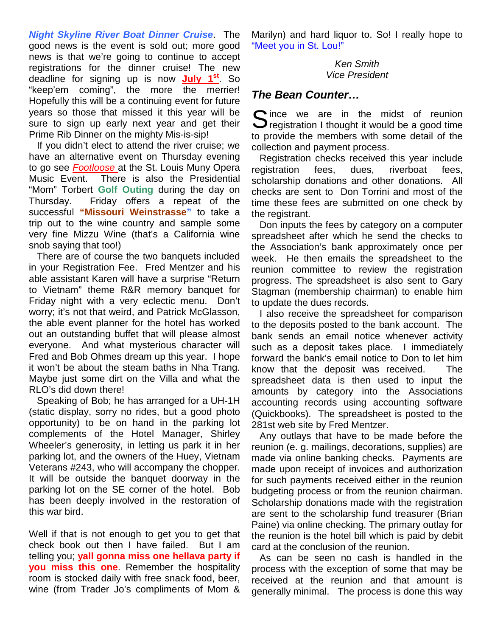*Night Skyline River Boat Dinner Cruise*. The good news is the event is sold out; more good news is that we're going to continue to accept registrations for the dinner cruise! The new deadline for signing up is now **July 1st**. So "keep'em coming", the more the merrier! Hopefully this will be a continuing event for future years so those that missed it this year will be sure to sign up early next year and get their Prime Rib Dinner on the mighty Mis-is-sip!

If you didn't elect to attend the river cruise; we have an alternative event on Thursday evening to go see *Footloose* at the St. Louis Muny Opera Music Event. There is also the Presidential "Mom" Torbert **Golf Outing** during the day on Thursday. Friday offers a repeat of the successful **"Missouri Weinstrasse"** to take a trip out to the wine country and sample some very fine Mizzu Wine (that's a California wine snob saying that too!)

There are of course the two banquets included in your Registration Fee. Fred Mentzer and his able assistant Karen will have a surprise "Return to Vietnam" theme R&R memory banquet for Friday night with a very eclectic menu. Don't worry; it's not that weird, and Patrick McGlasson, the able event planner for the hotel has worked out an outstanding buffet that will please almost everyone. And what mysterious character will Fred and Bob Ohmes dream up this year. I hope it won't be about the steam baths in Nha Trang. Maybe just some dirt on the Villa and what the RLO's did down there!

Speaking of Bob; he has arranged for a UH-1H (static display, sorry no rides, but a good photo opportunity) to be on hand in the parking lot complements of the Hotel Manager, Shirley Wheeler's generosity, in letting us park it in her parking lot, and the owners of the Huey, Vietnam Veterans #243, who will accompany the chopper. It will be outside the banquet doorway in the parking lot on the SE corner of the hotel. Bob has been deeply involved in the restoration of this war bird.

Well if that is not enough to get you to get that check book out then I have failed. But I am telling you; **yall gonna miss one hellava party if you miss this one**. Remember the hospitality room is stocked daily with free snack food, beer, wine (from Trader Jo's compliments of Mom &

Marilyn) and hard liquor to. So! I really hope to "Meet you in St. Lou!"

> *Ken Smith Vice President*

# *The Bean Counter…*

Since we are in the midst of reunion<br>Since is a good time registration I thought it would be a good time  $\bigcup$  registration I thought it would be a good time to provide the members with some detail of the collection and payment process.

Registration checks received this year include registration fees, dues, riverboat fees, scholarship donations and other donations. All checks are sent to Don Torrini and most of the time these fees are submitted on one check by the registrant.

Don inputs the fees by category on a computer spreadsheet after which he send the checks to the Association's bank approximately once per week. He then emails the spreadsheet to the reunion committee to review the registration progress. The spreadsheet is also sent to Gary Stagman (membership chairman) to enable him to update the dues records.

I also receive the spreadsheet for comparison to the deposits posted to the bank account. The bank sends an email notice whenever activity such as a deposit takes place. I immediately forward the bank's email notice to Don to let him know that the deposit was received. The spreadsheet data is then used to input the amounts by category into the Associations accounting records using accounting software (Quickbooks). The spreadsheet is posted to the 281st web site by Fred Mentzer.

Any outlays that have to be made before the reunion (e. g. mailings, decorations, supplies) are made via online banking checks. Payments are made upon receipt of invoices and authorization for such payments received either in the reunion budgeting process or from the reunion chairman. Scholarship donations made with the registration are sent to the scholarship fund treasurer (Brian Paine) via online checking. The primary outlay for the reunion is the hotel bill which is paid by debit card at the conclusion of the reunion.

As can be seen no cash is handled in the process with the exception of some that may be received at the reunion and that amount is generally minimal. The process is done this way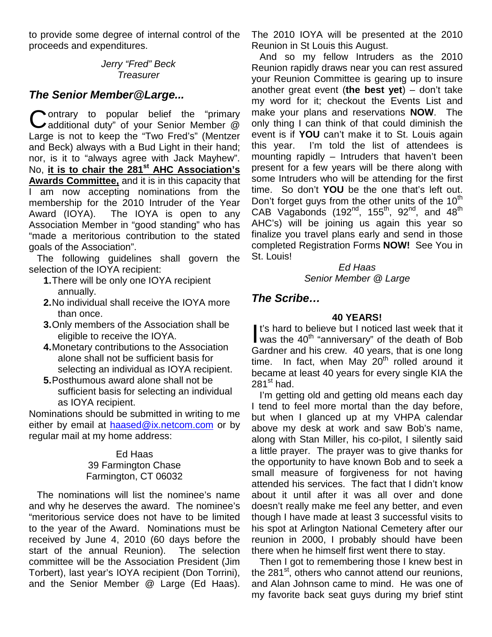to provide some degree of internal control of the proceeds and expenditures.

# *Jerry "Fred" Beck Treasurer*

# *The Senior Member@Large...*

**C** ontrary to popular belief the "primary<br>
additional duty" of your Senior Member @ **J** additional duty" of your Senior Member @ Large is not to keep the "Two Fred's" (Mentzer and Beck) always with a Bud Light in their hand; nor, is it to "always agree with Jack Mayhew". No, **it is to chair the 281st AHC Association's Awards Committee,** and it is in this capacity that I am now accepting nominations from the membership for the 2010 Intruder of the Year Award (IOYA). The IOYA is open to any Association Member in "good standing" who has "made a meritorious contribution to the stated goals of the Association".

The following guidelines shall govern the selection of the IOYA recipient:

- **1.**There will be only one IOYA recipient annually.
- **2.**No individual shall receive the IOYA more than once.
- **3.**Only members of the Association shall be eligible to receive the IOYA.
- **4.**Monetary contributions to the Association alone shall not be sufficient basis for selecting an individual as IOYA recipient.
- **5.**Posthumous award alone shall not be sufficient basis for selecting an individual as IOYA recipient.

Nominations should be submitted in writing to me either by email at [haased@ix.netcom.com](mailto:haased@ix.netcom.com) or by regular mail at my home address:

# Ed Haas 39 Farmington Chase Farmington, CT 06032

The nominations will list the nominee's name and why he deserves the award. The nominee's "meritorious service does not have to be limited to the year of the Award. Nominations must be received by June 4, 2010 (60 days before the start of the annual Reunion). The selection committee will be the Association President (Jim Torbert), last year's IOYA recipient (Don Torrini), and the Senior Member @ Large (Ed Haas). The 2010 IOYA will be presented at the 2010 Reunion in St Louis this August.

And so my fellow Intruders as the 2010 Reunion rapidly draws near you can rest assured your Reunion Committee is gearing up to insure another great event (**the best yet**) – don't take my word for it; checkout the Events List and make your plans and reservations **NOW**. The only thing I can think of that could diminish the event is if **YOU** can't make it to St. Louis again this year. I'm told the list of attendees is mounting rapidly – Intruders that haven't been present for a few years will be there along with some Intruders who will be attending for the first time. So don't **YOU** be the one that's left out. Don't forget guys from the other units of the  $10<sup>th</sup>$ CAB Vagabonds (192<sup>nd</sup>, 155<sup>th</sup>, 92<sup>nd</sup>, and 48<sup>th</sup> AHC's) will be joining us again this year so finalize you travel plans early and send in those completed Registration Forms **NOW!** See You in St. Louis!

> *Ed Haas Senior Member @ Large*

# *The Scribe…*

# **40 YEARS!**

It's hard to believe but I noticed last week that it It's hard to believe but I noticed last week that it<br>was the  $40^{th}$  "anniversary" of the death of Bob Gardner and his crew. 40 years, that is one long time. In fact, when May  $20<sup>th</sup>$  rolled around it became at least 40 years for every single KIA the  $281<sup>st</sup>$  had.

I'm getting old and getting old means each day I tend to feel more mortal than the day before, but when I glanced up at my VHPA calendar above my desk at work and saw Bob's name, along with Stan Miller, his co-pilot, I silently said a little prayer. The prayer was to give thanks for the opportunity to have known Bob and to seek a small measure of forgiveness for not having attended his services. The fact that I didn't know about it until after it was all over and done doesn't really make me feel any better, and even though I have made at least 3 successful visits to his spot at Arlington National Cemetery after our reunion in 2000, I probably should have been there when he himself first went there to stay.

Then I got to remembering those I knew best in the 281<sup>st</sup>, others who cannot attend our reunions, and Alan Johnson came to mind. He was one of my favorite back seat guys during my brief stint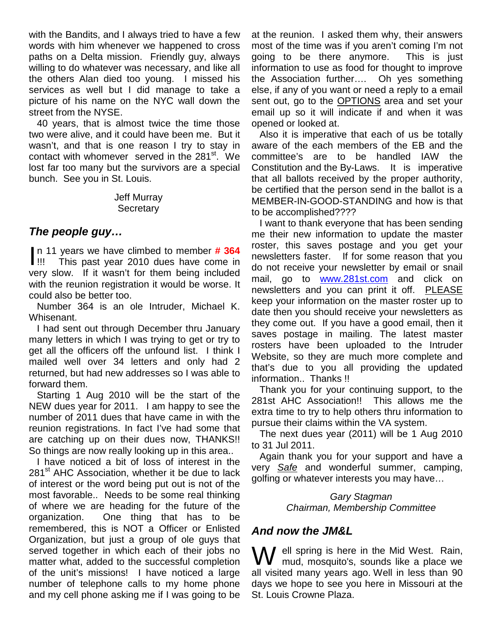with the Bandits, and I always tried to have a few words with him whenever we happened to cross paths on a Delta mission. Friendly guy, always willing to do whatever was necessary, and like all the others Alan died too young. I missed his services as well but I did manage to take a picture of his name on the NYC wall down the street from the NYSE.

40 years, that is almost twice the time those two were alive, and it could have been me. But it wasn't, and that is one reason I try to stay in contact with whomever served in the 281<sup>st</sup>. We lost far too many but the survivors are a special bunch. See you in St. Louis.

## Jeff Murray **Secretary**

# *The people guy…*

n 11 years we have climbed to member **# 364** This past year 2010 dues have come in very slow. If it wasn't for them being included with the reunion registration it would be worse. It could also be better too.  $\mathbf{I}_{\text{III}}$ 

Number 364 is an ole Intruder, Michael K. Whisenant.

I had sent out through December thru January many letters in which I was trying to get or try to get all the officers off the unfound list. I think I mailed well over 34 letters and only had 2 returned, but had new addresses so I was able to forward them.

Starting 1 Aug 2010 will be the start of the NEW dues year for 2011. I am happy to see the number of 2011 dues that have came in with the reunion registrations. In fact I've had some that are catching up on their dues now, THANKS!! So things are now really looking up in this area..

I have noticed a bit of loss of interest in the 281<sup>st</sup> AHC Association, whether it be due to lack of interest or the word being put out is not of the most favorable.. Needs to be some real thinking of where we are heading for the future of the organization. One thing that has to be remembered, this is NOT a Officer or Enlisted Organization, but just a group of ole guys that served together in which each of their jobs no matter what, added to the successful completion of the unit's missions! I have noticed a large number of telephone calls to my home phone and my cell phone asking me if I was going to be at the reunion. I asked them why, their answers most of the time was if you aren't coming I'm not going to be there anymore. This is just information to use as food for thought to improve the Association further…. Oh yes something else, if any of you want or need a reply to a email sent out, go to the **OPTIONS** area and set your email up so it will indicate if and when it was opened or looked at.

Also it is imperative that each of us be totally aware of the each members of the EB and the committee's are to be handled IAW the Constitution and the By-Laws. It is imperative that all ballots received by the proper authority, be certified that the person send in the ballot is a MEMBER-IN-GOOD-STANDING and how is that to be accomplished????

I want to thank everyone that has been sending me their new information to update the master roster, this saves postage and you get your newsletters faster. If for some reason that you do not receive your newsletter by email or snail mail, go to [www.281st.com](http://www.281st.com/) and click on newsletters and you can print it off. PLEASE keep your information on the master roster up to date then you should receive your newsletters as they come out. If you have a good email, then it saves postage in mailing. The latest master rosters have been uploaded to the Intruder Website, so they are much more complete and that's due to you all providing the updated information.. Thanks !!

Thank you for your continuing support, to the 281st AHC Association!! This allows me the extra time to try to help others thru information to pursue their claims within the VA system.

The next dues year (2011) will be 1 Aug 2010 to 31 Jul 2011.

Again thank you for your support and have a very *Safe* and wonderful summer, camping, golfing or whatever interests you may have…

> *Gary Stagman Chairman, Membership Committee*

# *And now the JM&L*

W ell spring is here in the Mid West. Rain,<br>mud, mosquito's, sounds like a place we **V** mud, mosquito's, sounds like a place we all visited many years ago. Well in less than 90 days we hope to see you here in Missouri at the St. Louis Crowne Plaza.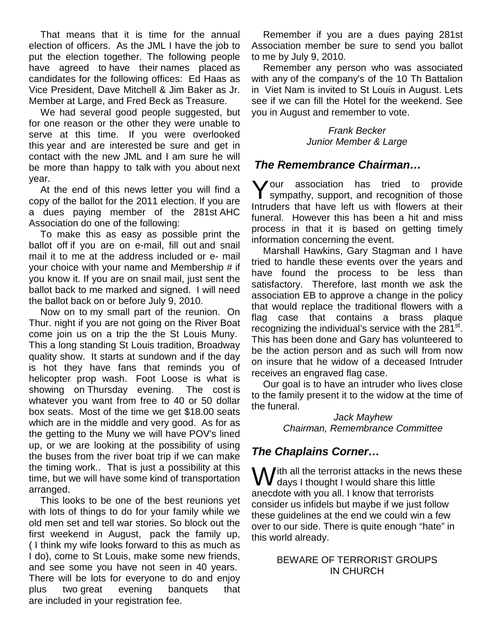That means that it is time for the annual election of officers. As the JML I have the job to put the election together. The following people have agreed to have their names placed as candidates for the following offices: Ed Haas as Vice President, Dave Mitchell & Jim Baker as Jr. Member at Large, and Fred Beck as Treasure.

We had several good people suggested, but for one reason or the other they were unable to serve at this time. If you were overlooked this year and are interested be sure and get in contact with the new JML and I am sure he will be more than happy to talk with you about next year.

At the end of this news letter you will find a copy of the ballot for the 2011 election. If you are a dues paying member of the 281st AHC Association do one of the following:

To make this as easy as possible print the ballot off if you are on e-mail, fill out and snail mail it to me at the address included or e- mail your choice with your name and Membership # if you know it. If you are on snail mail, just sent the ballot back to me marked and signed. I will need the ballot back on or before July 9, 2010.

Now on to my small part of the reunion. On Thur. night if you are not going on the River Boat come join us on a trip the the St Louis Muny. This a long standing St Louis tradition, Broadway quality show. It starts at sundown and if the day is hot they have fans that reminds you of helicopter prop wash. Foot Loose is what is showing on Thursday evening. The cost is whatever you want from free to 40 or 50 dollar box seats. Most of the time we get \$18.00 seats which are in the middle and very good. As for as the getting to the Muny we will have POV's lined up, or we are looking at the possibility of using the buses from the river boat trip if we can make the timing work.. That is just a possibility at this time, but we will have some kind of transportation arranged.

This looks to be one of the best reunions yet with lots of things to do for your family while we old men set and tell war stories. So block out the first weekend in August, pack the family up, ( I think my wife looks forward to this as much as I do), come to St Louis, make some new friends, and see some you have not seen in 40 years. There will be lots for everyone to do and enjoy plus two great evening banquets that are included in your registration fee.

Remember if you are a dues paying 281st Association member be sure to send you ballot to me by July 9, 2010.

Remember any person who was associated with any of the company's of the 10 Th Battalion in Viet Nam is invited to St Louis in August. Lets see if we can fill the Hotel for the weekend. See you in August and remember to vote.

# *Frank Becker Junior Member & Large*

# *The Remembrance Chairman…*

Your association has tried to provide<br>
sympathy, support, and recognition of those **I** sympathy, support, and recognition of those Intruders that have left us with flowers at their funeral. However this has been a hit and miss process in that it is based on getting timely information concerning the event.

Marshall Hawkins, Gary Stagman and I have tried to handle these events over the years and have found the process to be less than satisfactory. Therefore, last month we ask the association EB to approve a change in the policy that would replace the traditional flowers with a flag case that contains a brass plaque recognizing the individual's service with the 281<sup>st</sup>. This has been done and Gary has volunteered to be the action person and as such will from now on insure that he widow of a deceased Intruder receives an engraved flag case.

Our goal is to have an intruder who lives close to the family present it to the widow at the time of the funeral.

*Jack Mayhew Chairman, Remembrance Committee*

# *The Chaplains Corner…*

 $\mathbf{W}$  ith all the terrorist attacks in the news these<br>
conselets with you all I know that terrarists  **days I thought I would share this little** anecdote with you all. I know that terrorists consider us infidels but maybe if we just follow these guidelines at the end we could win a few over to our side. There is quite enough "hate" in this world already.

# BEWARE OF TERRORIST GROUPS IN CHURCH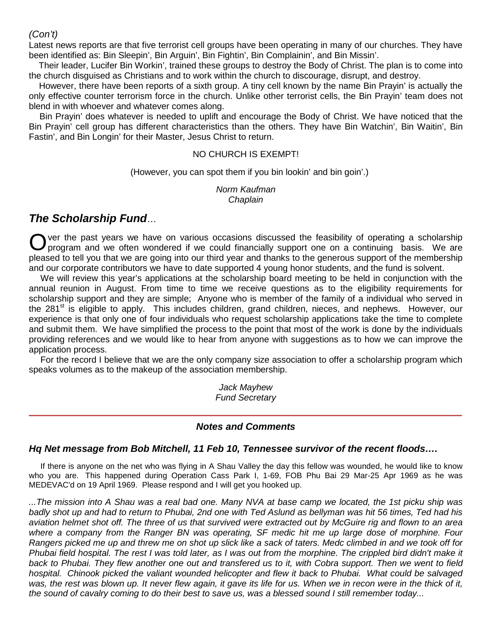# *(Con't)*

Latest news reports are that five terrorist cell groups have been operating in many of our churches. They have been identified as: Bin Sleepin', Bin Arguin', Bin Fightin', Bin Complainin', and Bin Missin'.

 Their leader, Lucifer Bin Workin', trained these groups to destroy the Body of Christ. The plan is to come into the church disguised as Christians and to work within the church to discourage, disrupt, and destroy.

 However, there have been reports of a sixth group. A tiny cell known by the name Bin Prayin' is actually the only effective counter terrorism force in the church. Unlike other terrorist cells, the Bin Prayin' team does not blend in with whoever and whatever comes along.

 Bin Prayin' does whatever is needed to uplift and encourage the Body of Christ. We have noticed that the Bin Prayin' cell group has different characteristics than the others. They have Bin Watchin', Bin Waitin', Bin Fastin', and Bin Longin' for their Master, Jesus Christ to return.

## NO CHURCH IS EXEMPT!

(However, you can spot them if you bin lookin' and bin goin'.)

*Norm Kaufman Chaplain*

# *The Scholarship Fund*…

ver the past years we have on various occasions discussed the feasibility of operating a scholarship program and we often wondered if we could financially support one on a continuing basis. We are pleased to tell you that we are going into our third year and thanks to the generous support of the membership and our corporate contributors we have to date supported 4 young honor students, and the fund is solvent. O

We will review this year's applications at the scholarship board meeting to be held in conjunction with the annual reunion in August. From time to time we receive questions as to the eligibility requirements for scholarship support and they are simple; Anyone who is member of the family of a individual who served in the 281<sup>st</sup> is eligible to apply. This includes children, grand children, nieces, and nephews. However, our experience is that only one of four individuals who request scholarship applications take the time to complete and submit them. We have simplified the process to the point that most of the work is done by the individuals providing references and we would like to hear from anyone with suggestions as to how we can improve the application process.

For the record I believe that we are the only company size association to offer a scholarship program which speaks volumes as to the makeup of the association membership.

> *Jack Mayhew Fund Secretary*

# *Notes and Comments*

# *Hq Net message from Bob Mitchell, 11 Feb 10, Tennessee survivor of the recent floods….*

If there is anyone on the net who was flying in A Shau Valley the day this fellow was wounded, he would like to know who you are. This happened during Operation Cass Park I, 1-69, FOB Phu Bai 29 Mar-25 Apr 1969 as he was MEDEVAC'd on 19 April 1969. Please respond and I will get you hooked up.

*...The mission into A Shau was a real bad one. Many NVA at base camp we located, the 1st picku ship was badly shot up and had to return to Phubai, 2nd one with Ted Aslund as bellyman was hit 56 times, Ted had his aviation helmet shot off. The three of us that survived were extracted out by McGuire rig and flown to an area where a company from the Ranger BN was operating, SF medic hit me up large dose of morphine. Four Rangers picked me up and threw me on shot up slick like a sack of taters. Medc climbed in and we took off for*  Phubai field hospital. The rest I was told later, as I was out from the morphine. The crippled bird didn't make it *back to Phubai. They flew another one out and transfered us to it, with Cobra support. Then we went to field hospital. Chinook picked the valiant wounded helicopter and flew it back to Phubai. What could be salvaged was, the rest was blown up. It never flew again, it gave its life for us. When we in recon were in the thick of it, the sound of cavalry coming to do their best to save us, was a blessed sound I still remember today...*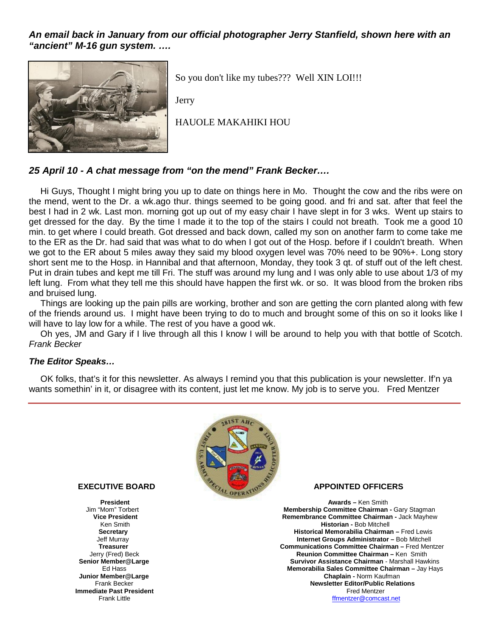*An email back in January from our official photographer Jerry Stanfield, shown here with an "ancient" M-16 gun system. ….*



So you don't like my tubes??? Well XIN LOI!!!

Jerry

HAUOLE MAKAHIKI HOU

# *25 April 10 - A chat message from "on the mend" Frank Becker….*

Hi Guys, Thought I might bring you up to date on things here in Mo. Thought the cow and the ribs were on the mend, went to the Dr. a wk.ago thur. things seemed to be going good. and fri and sat. after that feel the best I had in 2 wk. Last mon. morning got up out of my easy chair I have slept in for 3 wks. Went up stairs to get dressed for the day. By the time I made it to the top of the stairs I could not breath. Took me a good 10 min. to get where I could breath. Got dressed and back down, called my son on another farm to come take me to the ER as the Dr. had said that was what to do when I got out of the Hosp. before if I couldn't breath. When we got to the ER about 5 miles away they said my blood oxygen level was 70% need to be 90%+. Long story short sent me to the Hosp. in Hannibal and that afternoon, Monday, they took 3 qt. of stuff out of the left chest. Put in drain tubes and kept me till Fri. The stuff was around my lung and I was only able to use about 1/3 of my left lung. From what they tell me this should have happen the first wk. or so. It was blood from the broken ribs and bruised lung.

Things are looking up the pain pills are working, brother and son are getting the corn planted along with few of the friends around us. I might have been trying to do to much and brought some of this on so it looks like I will have to lay low for a while. The rest of you have a good wk.

Oh yes, JM and Gary if I live through all this I know I will be around to help you with that bottle of Scotch. *Frank Becker*

#### *The Editor Speaks…*

OK folks, that's it for this newsletter. As always I remind you that this publication is your newsletter. If'n ya wants somethin' in it, or disagree with its content, just let me know. My job is to serve you. Fred Mentzer



**Junior Member@Large**<br>Frank Becker **Immediate Past President**<br>Frank Little

#### **EXECUTIVE BOARD APPOINTED OFFICERS**

**President Awards** – Ken Smith **President** Awards – Ken Smith Jim "Mom" Torbert **Awards** – Ken Smith Jim "Mom" Torbert n "Mom" Torbert **Membership Committee Chairman -** Gary Stagman<br>**1999 - The Membership Committee Chairman -** Jack Mayhew<br>**Remembrance Committee Chairman -** Jack Mayhew **Remembrance Committee Chairman - Jack Mayhew** Ken Smith **Historian - Bob Mitchell**<br>**Secretary Historical Memorabilia Chairma Secretary Exeretary 19 Secretary 19 Secretary 19 Secretary 19 Secretary 19 Secretary 19 Secretary 19 Secretary 19 Secretary 19 Secretary 19 Secretary 19 Secretary 19 Secretary 19 Secretary 19 Secretary 19 Secretary 19 Sec Internet Groups Administrator - Bob Mitchell Treasurer Communications Communications Committee Chairman** – Fred Mentzer<br>Jerry (Fred) Beck **Committee Chairman** – Ken Smith Jerry (Fred) Beck **Committee Chairman** – Ken Smith **Senior Member @Large Reunion Committee Chairman** – Ken Smith **Senior Member @Large Chairman** – Marshall Haw **Member@Large Survivor Assistance Chairman -** Marshall Hawkins<br>Fd Hass **Survivor Assistance Chairman -** Jay Hays **Memorabilia Sales Committee Chairman – Jay Hays Changle Chairman – Jay Hays Newsletter Editor/Public Relations**<br>Fred Mentzer

ffmentzer@comcast.net